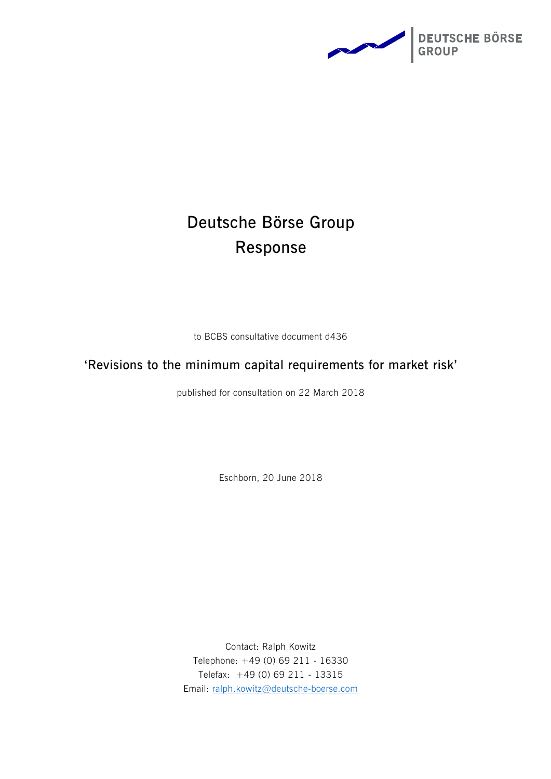

# **Deutsche Börse Group Response**

to BCBS consultative document d436

# **'Revisions to the minimum capital requirements for market risk'**

published for consultation on 22 March 2018

Eschborn, 20 June 2018

Contact: Ralph Kowitz Telephone: +49 (0) 69 211 - 16330 Telefax: +49 (0) 69 211 - 13315 Email: [ralph.kowitz@deutsche-boerse.com](mailto:ralph.kowitz@deutsche-boerse.com)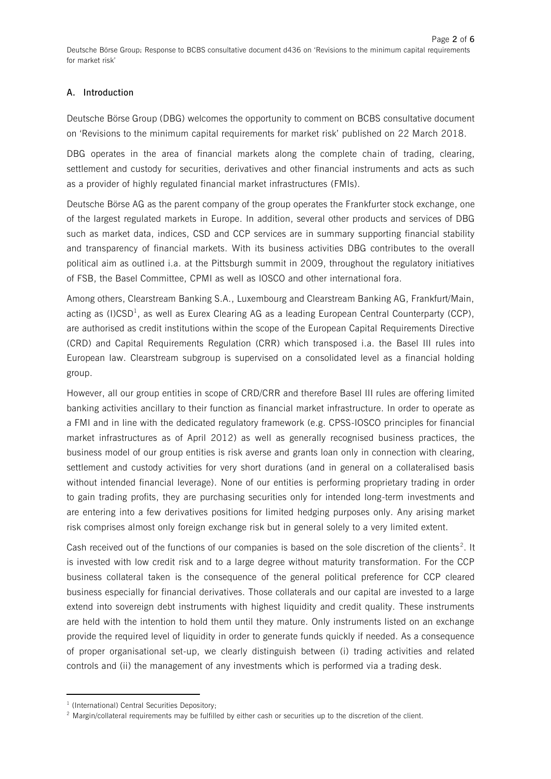### **A. Introduction**

Deutsche Börse Group (DBG) welcomes the opportunity to comment on BCBS consultative document on 'Revisions to the minimum capital requirements for market risk' published on 22 March 2018.

DBG operates in the area of financial markets along the complete chain of trading, clearing, settlement and custody for securities, derivatives and other financial instruments and acts as such as a provider of highly regulated financial market infrastructures (FMIs).

Deutsche Börse AG as the parent company of the group operates the Frankfurter stock exchange, one of the largest regulated markets in Europe. In addition, several other products and services of DBG such as market data, indices, CSD and CCP services are in summary supporting financial stability and transparency of financial markets. With its business activities DBG contributes to the overall political aim as outlined i.a. at the Pittsburgh summit in 2009, throughout the regulatory initiatives of FSB, the Basel Committee, CPMI as well as IOSCO and other international fora.

Among others, Clearstream Banking S.A., Luxembourg and Clearstream Banking AG, Frankfurt/Main, acting as (I)CSD<sup>1</sup>, as well as Eurex Clearing AG as a leading European Central Counterparty (CCP), are authorised as credit institutions within the scope of the European Capital Requirements Directive (CRD) and Capital Requirements Regulation (CRR) which transposed i.a. the Basel III rules into European law. Clearstream subgroup is supervised on a consolidated level as a financial holding group.

However, all our group entities in scope of CRD/CRR and therefore Basel III rules are offering limited banking activities ancillary to their function as financial market infrastructure. In order to operate as a FMI and in line with the dedicated regulatory framework (e.g. CPSS-IOSCO principles for financial market infrastructures as of April 2012) as well as generally recognised business practices, the business model of our group entities is risk averse and grants loan only in connection with clearing, settlement and custody activities for very short durations (and in general on a collateralised basis without intended financial leverage). None of our entities is performing proprietary trading in order to gain trading profits, they are purchasing securities only for intended long-term investments and are entering into a few derivatives positions for limited hedging purposes only. Any arising market risk comprises almost only foreign exchange risk but in general solely to a very limited extent.

Cash received out of the functions of our companies is based on the sole discretion of the clients<sup>2</sup>. It is invested with low credit risk and to a large degree without maturity transformation. For the CCP business collateral taken is the consequence of the general political preference for CCP cleared business especially for financial derivatives. Those collaterals and our capital are invested to a large extend into sovereign debt instruments with highest liquidity and credit quality. These instruments are held with the intention to hold them until they mature. Only instruments listed on an exchange provide the required level of liquidity in order to generate funds quickly if needed. As a consequence of proper organisational set-up, we clearly distinguish between (i) trading activities and related controls and (ii) the management of any investments which is performed via a trading desk.

**.** 

<sup>&</sup>lt;sup>1</sup> (International) Central Securities Depository;

<sup>&</sup>lt;sup>2</sup> Margin/collateral requirements may be fulfilled by either cash or securities up to the discretion of the client.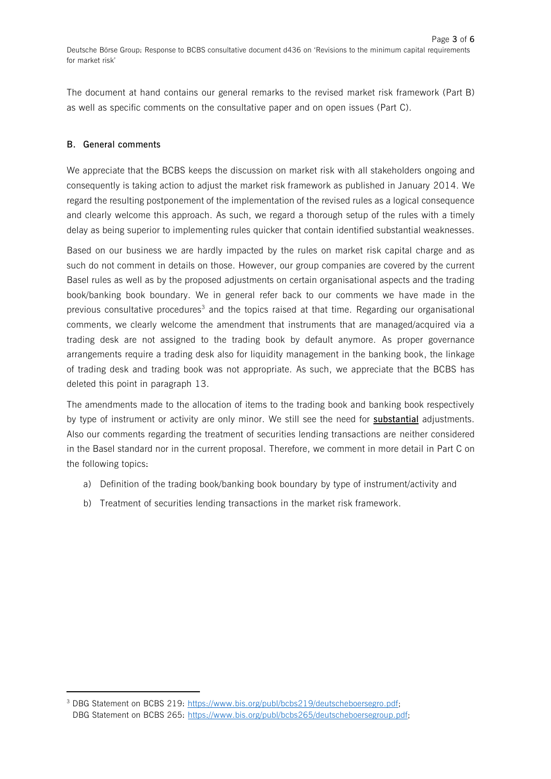The document at hand contains our general remarks to the revised market risk framework (Part B) as well as specific comments on the consultative paper and on open issues (Part C).

#### **B. General comments**

 $\overline{a}$ 

We appreciate that the BCBS keeps the discussion on market risk with all stakeholders ongoing and consequently is taking action to adjust the market risk framework as published in January 2014. We regard the resulting postponement of the implementation of the revised rules as a logical consequence and clearly welcome this approach. As such, we regard a thorough setup of the rules with a timely delay as being superior to implementing rules quicker that contain identified substantial weaknesses.

Based on our business we are hardly impacted by the rules on market risk capital charge and as such do not comment in details on those. However, our group companies are covered by the current Basel rules as well as by the proposed adjustments on certain organisational aspects and the trading book/banking book boundary. We in general refer back to our comments we have made in the previous consultative procedures<sup>3</sup> and the topics raised at that time. Regarding our organisational comments, we clearly welcome the amendment that instruments that are managed/acquired via a trading desk are not assigned to the trading book by default anymore. As proper governance arrangements require a trading desk also for liquidity management in the banking book, the linkage of trading desk and trading book was not appropriate. As such, we appreciate that the BCBS has deleted this point in paragraph 13.

The amendments made to the allocation of items to the trading book and banking book respectively by type of instrument or activity are only minor. We still see the need for **substantial** adjustments. Also our comments regarding the treatment of securities lending transactions are neither considered in the Basel standard nor in the current proposal. Therefore, we comment in more detail in Part C on the following topics:

- a) Definition of the trading book/banking book boundary by type of instrument/activity and
- b) Treatment of securities lending transactions in the market risk framework.

<sup>&</sup>lt;sup>3</sup> DBG Statement on BCBS 219: [https://www.bis.org/publ/bcbs219/deutscheboersegro.pdf;](https://www.bis.org/publ/bcbs219/deutscheboersegro.pdf) DBG Statement on BCBS 265: [https://www.bis.org/publ/bcbs265/deutscheboersegroup.pdf;](https://www.bis.org/publ/bcbs265/deutscheboersegroup.pdf)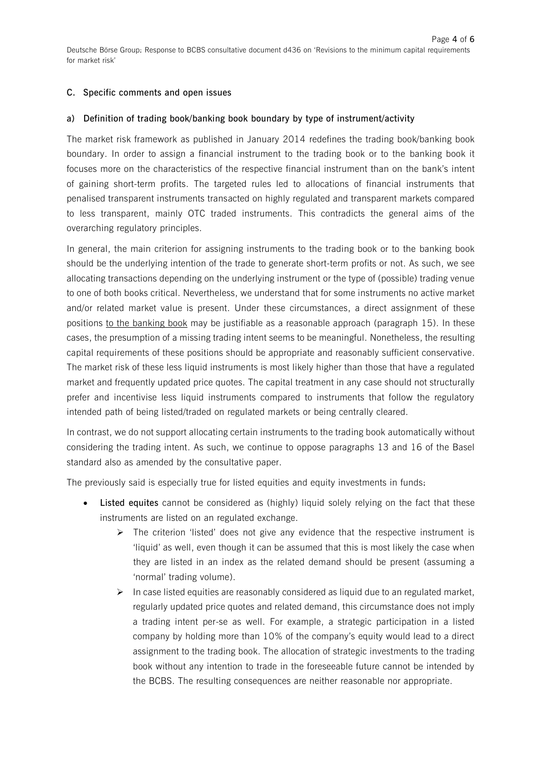#### **C. Specific comments and open issues**

#### **a) Definition of trading book/banking book boundary by type of instrument/activity**

The market risk framework as published in January 2014 redefines the trading book/banking book boundary. In order to assign a financial instrument to the trading book or to the banking book it focuses more on the characteristics of the respective financial instrument than on the bank's intent of gaining short-term profits. The targeted rules led to allocations of financial instruments that penalised transparent instruments transacted on highly regulated and transparent markets compared to less transparent, mainly OTC traded instruments. This contradicts the general aims of the overarching regulatory principles.

In general, the main criterion for assigning instruments to the trading book or to the banking book should be the underlying intention of the trade to generate short-term profits or not. As such, we see allocating transactions depending on the underlying instrument or the type of (possible) trading venue to one of both books critical. Nevertheless, we understand that for some instruments no active market and/or related market value is present. Under these circumstances, a direct assignment of these positions to the banking book may be justifiable as a reasonable approach (paragraph 15). In these cases, the presumption of a missing trading intent seems to be meaningful. Nonetheless, the resulting capital requirements of these positions should be appropriate and reasonably sufficient conservative. The market risk of these less liquid instruments is most likely higher than those that have a regulated market and frequently updated price quotes. The capital treatment in any case should not structurally prefer and incentivise less liquid instruments compared to instruments that follow the regulatory intended path of being listed/traded on regulated markets or being centrally cleared.

In contrast, we do not support allocating certain instruments to the trading book automatically without considering the trading intent. As such, we continue to oppose paragraphs 13 and 16 of the Basel standard also as amended by the consultative paper.

The previously said is especially true for listed equities and equity investments in funds:

- **Listed equites** cannot be considered as (highly) liquid solely relying on the fact that these instruments are listed on an regulated exchange.
	- $\triangleright$  The criterion 'listed' does not give any evidence that the respective instrument is 'liquid' as well, even though it can be assumed that this is most likely the case when they are listed in an index as the related demand should be present (assuming a 'normal' trading volume).
	- $\triangleright$  In case listed equities are reasonably considered as liquid due to an regulated market, regularly updated price quotes and related demand, this circumstance does not imply a trading intent per-se as well. For example, a strategic participation in a listed company by holding more than 10% of the company's equity would lead to a direct assignment to the trading book. The allocation of strategic investments to the trading book without any intention to trade in the foreseeable future cannot be intended by the BCBS. The resulting consequences are neither reasonable nor appropriate.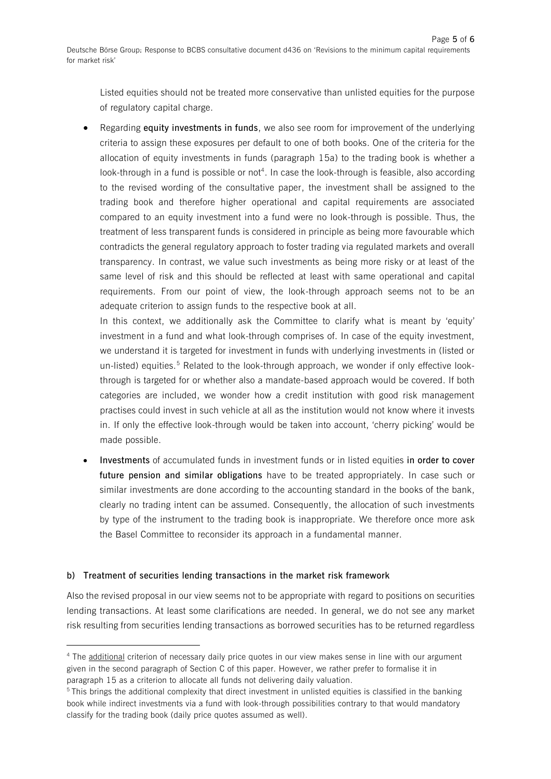Listed equities should not be treated more conservative than unlisted equities for the purpose of regulatory capital charge.

 Regarding **equity investments in funds**, we also see room for improvement of the underlying criteria to assign these exposures per default to one of both books. One of the criteria for the allocation of equity investments in funds (paragraph 15a) to the trading book is whether a look-through in a fund is possible or not<sup>4</sup>. In case the look-through is feasible, also according to the revised wording of the consultative paper, the investment shall be assigned to the trading book and therefore higher operational and capital requirements are associated compared to an equity investment into a fund were no look-through is possible. Thus, the treatment of less transparent funds is considered in principle as being more favourable which contradicts the general regulatory approach to foster trading via regulated markets and overall transparency. In contrast, we value such investments as being more risky or at least of the same level of risk and this should be reflected at least with same operational and capital requirements. From our point of view, the look-through approach seems not to be an adequate criterion to assign funds to the respective book at all.

In this context, we additionally ask the Committee to clarify what is meant by 'equity' investment in a fund and what look-through comprises of. In case of the equity investment, we understand it is targeted for investment in funds with underlying investments in (listed or un-listed) equities.<sup>5</sup> Related to the look-through approach, we wonder if only effective lookthrough is targeted for or whether also a mandate-based approach would be covered. If both categories are included, we wonder how a credit institution with good risk management practises could invest in such vehicle at all as the institution would not know where it invests in. If only the effective look-through would be taken into account, 'cherry picking' would be made possible.

 **Investments** of accumulated funds in investment funds or in listed equities **in order to cover future pension and similar obligations** have to be treated appropriately. In case such or similar investments are done according to the accounting standard in the books of the bank, clearly no trading intent can be assumed. Consequently, the allocation of such investments by type of the instrument to the trading book is inappropriate. We therefore once more ask the Basel Committee to reconsider its approach in a fundamental manner.

## **b) Treatment of securities lending transactions in the market risk framework**

 $\overline{a}$ 

Also the revised proposal in our view seems not to be appropriate with regard to positions on securities lending transactions. At least some clarifications are needed. In general, we do not see any market risk resulting from securities lending transactions as borrowed securities has to be returned regardless

<sup>4</sup> The additional criterion of necessary daily price quotes in our view makes sense in line with our argument given in the second paragraph of Section C of this paper. However, we rather prefer to formalise it in paragraph 15 as a criterion to allocate all funds not delivering daily valuation.

<sup>5</sup> This brings the additional complexity that direct investment in unlisted equities is classified in the banking book while indirect investments via a fund with look-through possibilities contrary to that would mandatory classify for the trading book (daily price quotes assumed as well).